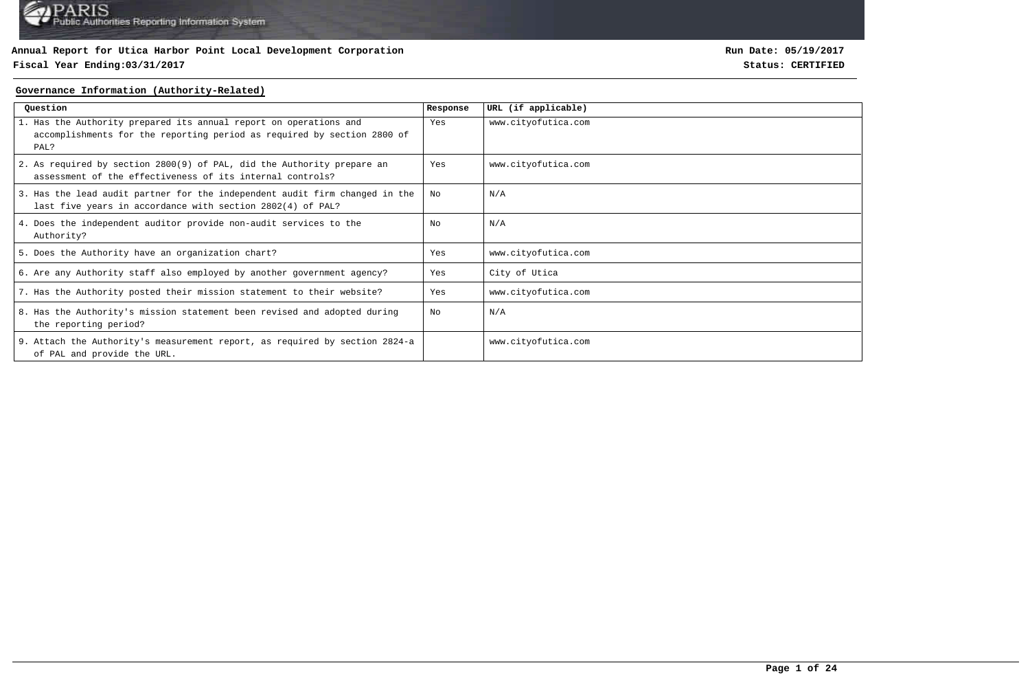## **Fiscal Year Ending:03/31/2017 Status: CERTIFIED**

**Run Date: 05/19/2017**

#### **Governance Information (Authority-Related)**

| Question                                                                                                                                             | Response | URL (if applicable) |
|------------------------------------------------------------------------------------------------------------------------------------------------------|----------|---------------------|
| 1. Has the Authority prepared its annual report on operations and<br>accomplishments for the reporting period as required by section 2800 of<br>PAL? | Yes      | www.cityofutica.com |
| 2. As required by section 2800(9) of PAL, did the Authority prepare an<br>assessment of the effectiveness of its internal controls?                  | Yes      | www.cityofutica.com |
| 3. Has the lead audit partner for the independent audit firm changed in the<br>last five years in accordance with section 2802(4) of PAL?            | No       | N/A                 |
| 4. Does the independent auditor provide non-audit services to the<br>Authority?                                                                      | No       | N/A                 |
| 5. Does the Authority have an organization chart?                                                                                                    | Yes      | www.cityofutica.com |
| 6. Are any Authority staff also employed by another government agency?                                                                               | Yes      | City of Utica       |
| 7. Has the Authority posted their mission statement to their website?                                                                                | Yes      | www.cityofutica.com |
| 8. Has the Authority's mission statement been revised and adopted during<br>the reporting period?                                                    | No       | N/A                 |
| 9. Attach the Authority's measurement report, as required by section 2824-a<br>of PAL and provide the URL.                                           |          | www.cityofutica.com |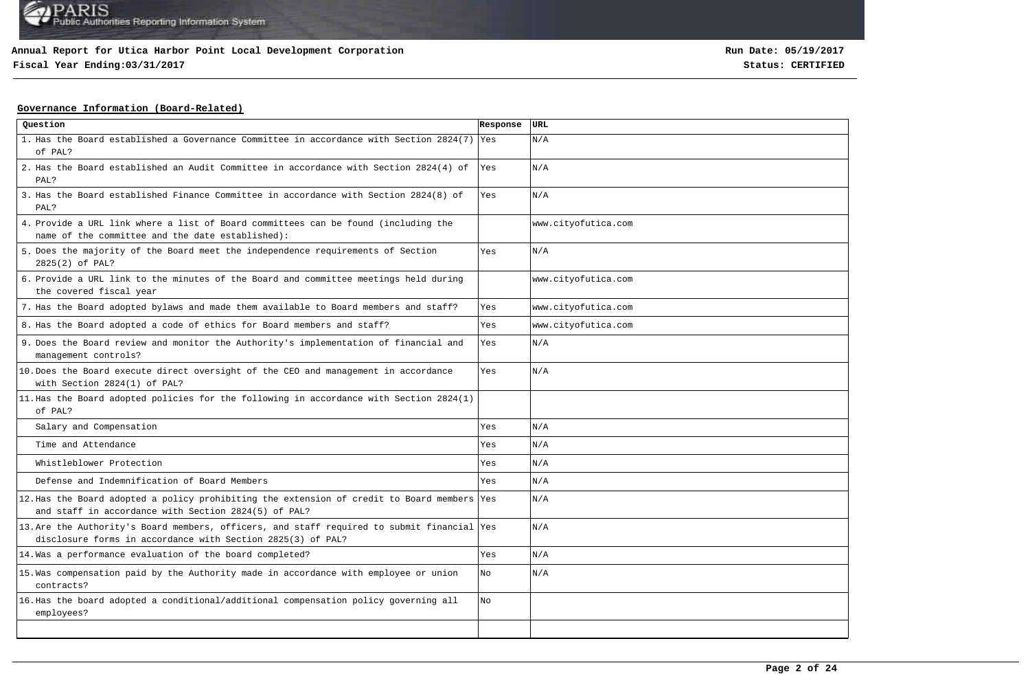## **Fiscal Year Ending:03/31/2017 Status: CERTIFIED**

**Run Date: 05/19/2017**

## **Governance Information (Board-Related)**

| Question                                                                                                                                                   | Response | URL                 |
|------------------------------------------------------------------------------------------------------------------------------------------------------------|----------|---------------------|
| 1. Has the Board established a Governance Committee in accordance with Section 2824(7) Yes<br>of PAL?                                                      |          | N/A                 |
| 2. Has the Board established an Audit Committee in accordance with Section 2824(4) of<br>PAL?                                                              | Yes      | N/A                 |
| 3. Has the Board established Finance Committee in accordance with Section 2824(8) of<br>PAL?                                                               | Yes      | N/A                 |
| 4. Provide a URL link where a list of Board committees can be found (including the<br>name of the committee and the date established):                     |          | www.cityofutica.com |
| 5. Does the majority of the Board meet the independence requirements of Section<br>2825(2) of PAL?                                                         | Yes      | N/A                 |
| 6. Provide a URL link to the minutes of the Board and committee meetings held during<br>the covered fiscal year                                            |          | www.cityofutica.com |
| 7. Has the Board adopted bylaws and made them available to Board members and staff?                                                                        | Yes      | www.cityofutica.com |
| 8. Has the Board adopted a code of ethics for Board members and staff?                                                                                     | Yes      | www.cityofutica.com |
| 9. Does the Board review and monitor the Authority's implementation of financial and<br>management controls?                                               | Yes      | N/A                 |
| 10. Does the Board execute direct oversight of the CEO and management in accordance<br>with Section 2824(1) of PAL?                                        | Yes      | N/A                 |
| 11. Has the Board adopted policies for the following in accordance with Section 2824(1)<br>of PAL?                                                         |          |                     |
| Salary and Compensation                                                                                                                                    | Yes      | N/A                 |
| Time and Attendance                                                                                                                                        | Yes      | N/A                 |
| Whistleblower Protection                                                                                                                                   | Yes      | N/A                 |
| Defense and Indemnification of Board Members                                                                                                               | Yes      | N/A                 |
| 12. Has the Board adopted a policy prohibiting the extension of credit to Board members Yes<br>and staff in accordance with Section 2824(5) of PAL?        |          | N/A                 |
| 13. Are the Authority's Board members, officers, and staff required to submit financial Yes<br>disclosure forms in accordance with Section 2825(3) of PAL? |          | N/A                 |
| 14. Was a performance evaluation of the board completed?                                                                                                   | Yes      | N/A                 |
| 15. Was compensation paid by the Authority made in accordance with employee or union<br>contracts?                                                         | No       | N/A                 |
| 16. Has the board adopted a conditional/additional compensation policy governing all<br>employees?                                                         | No       |                     |
|                                                                                                                                                            |          |                     |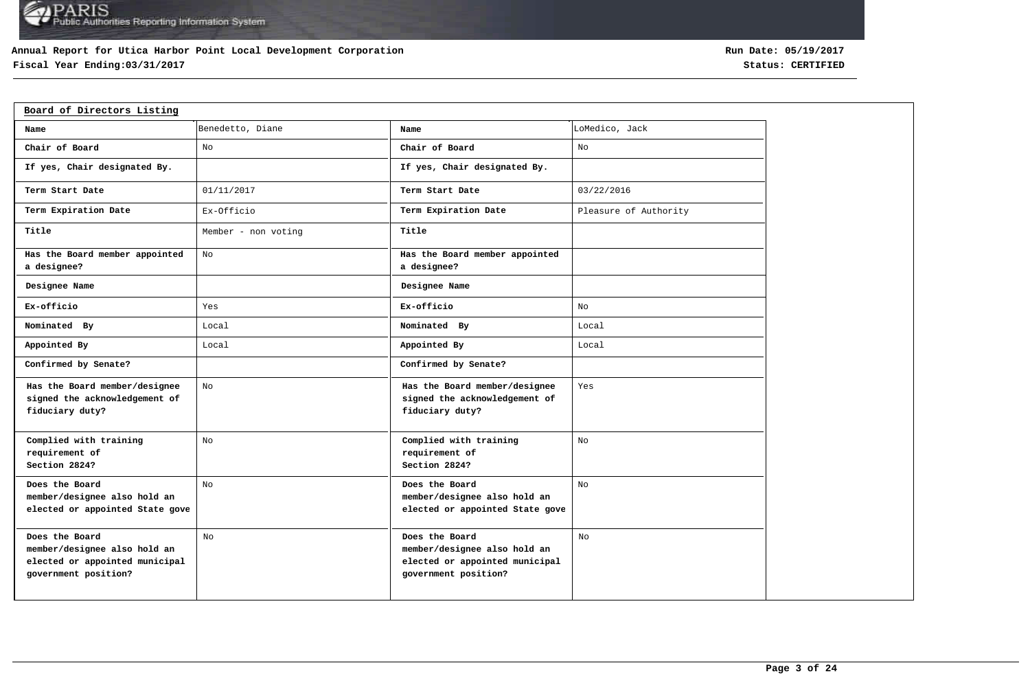## **Annual Report for Utica Harbor Point Local Development Corporation**

## **Fiscal Year Ending:03/31/2017 Status: CERTIFIED**

| Board of Directors Listing                                                                               |                     |                                                                                                          |                       |
|----------------------------------------------------------------------------------------------------------|---------------------|----------------------------------------------------------------------------------------------------------|-----------------------|
| Name                                                                                                     | Benedetto, Diane    | Name                                                                                                     | LoMedico, Jack        |
| Chair of Board                                                                                           | No                  | Chair of Board                                                                                           | No                    |
| If yes, Chair designated By.                                                                             |                     | If yes, Chair designated By.                                                                             |                       |
| Term Start Date                                                                                          | 01/11/2017          | Term Start Date                                                                                          | 03/22/2016            |
| Term Expiration Date                                                                                     | Ex-Officio          | Term Expiration Date                                                                                     | Pleasure of Authority |
| Title                                                                                                    | Member - non voting | Title                                                                                                    |                       |
| Has the Board member appointed<br>a designee?                                                            | No                  | Has the Board member appointed<br>a designee?                                                            |                       |
| Designee Name                                                                                            |                     | Designee Name                                                                                            |                       |
| Ex-officio                                                                                               | Yes                 | Ex-officio                                                                                               | No                    |
| Nominated By                                                                                             | Local               | Nominated By                                                                                             | Local                 |
| Appointed By                                                                                             | Local               | Appointed By                                                                                             | Local                 |
| Confirmed by Senate?                                                                                     |                     | Confirmed by Senate?                                                                                     |                       |
| Has the Board member/designee<br>signed the acknowledgement of<br>fiduciary duty?                        | No                  | Has the Board member/designee<br>signed the acknowledgement of<br>fiduciary duty?                        | Yes                   |
| Complied with training<br>requirement of<br>Section 2824?                                                | No                  | Complied with training<br>requirement of<br>Section 2824?                                                | No                    |
| Does the Board<br>member/designee also hold an<br>elected or appointed State gove                        | No                  | Does the Board<br>member/designee also hold an<br>elected or appointed State gove                        | No                    |
| Does the Board<br>member/designee also hold an<br>elected or appointed municipal<br>government position? | N <sub>O</sub>      | Does the Board<br>member/designee also hold an<br>elected or appointed municipal<br>government position? | No                    |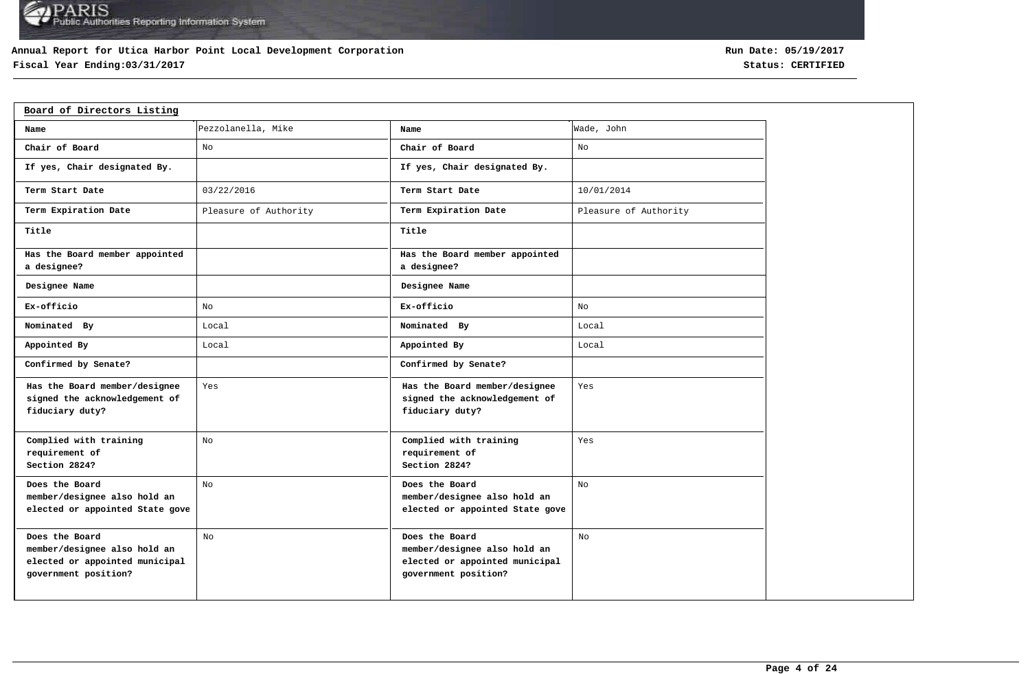## **Annual Report for Utica Harbor Point Local Development Corporation**

## **Fiscal Year Ending:03/31/2017 Status: CERTIFIED**

| Board of Directors Listing                                                                               |                       |                                                                                                          |                       |
|----------------------------------------------------------------------------------------------------------|-----------------------|----------------------------------------------------------------------------------------------------------|-----------------------|
| Name                                                                                                     | Pezzolanella, Mike    | Name                                                                                                     | Wade, John            |
| Chair of Board                                                                                           | No                    | Chair of Board                                                                                           | No                    |
| If yes, Chair designated By.                                                                             |                       | If yes, Chair designated By.                                                                             |                       |
| Term Start Date                                                                                          | 03/22/2016            | Term Start Date                                                                                          | 10/01/2014            |
| Term Expiration Date                                                                                     | Pleasure of Authority | Term Expiration Date                                                                                     | Pleasure of Authority |
| Title                                                                                                    |                       | Title                                                                                                    |                       |
| Has the Board member appointed<br>a designee?                                                            |                       | Has the Board member appointed<br>a designee?                                                            |                       |
| Designee Name                                                                                            |                       | Designee Name                                                                                            |                       |
| Ex-officio                                                                                               | No                    | Ex-officio                                                                                               | No                    |
| Nominated By                                                                                             | Local                 | Nominated By                                                                                             | Local                 |
| Appointed By                                                                                             | Local                 | Appointed By                                                                                             | Local                 |
| Confirmed by Senate?                                                                                     |                       | Confirmed by Senate?                                                                                     |                       |
| Has the Board member/designee<br>signed the acknowledgement of<br>fiduciary duty?                        | Yes                   | Has the Board member/designee<br>signed the acknowledgement of<br>fiduciary duty?                        | Yes                   |
| Complied with training<br>requirement of<br>Section 2824?                                                | No                    | Complied with training<br>requirement of<br>Section 2824?                                                | Yes                   |
| Does the Board<br>member/designee also hold an<br>elected or appointed State gove                        | No                    | Does the Board<br>member/designee also hold an<br>elected or appointed State gove                        | No                    |
| Does the Board<br>member/designee also hold an<br>elected or appointed municipal<br>government position? | No                    | Does the Board<br>member/designee also hold an<br>elected or appointed municipal<br>government position? | No                    |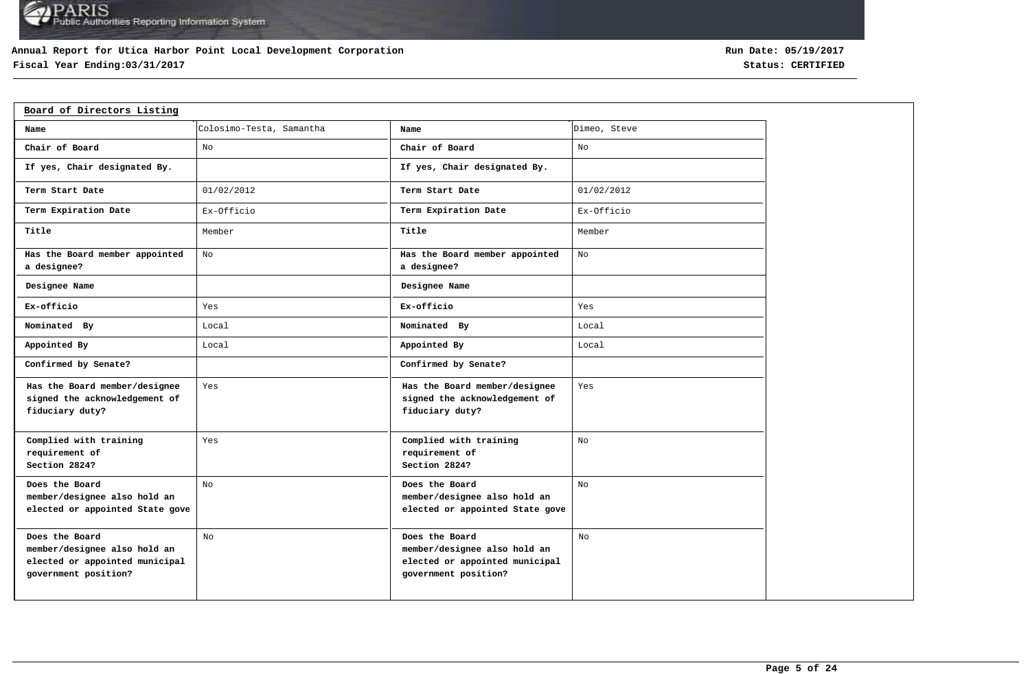## **Annual Report for Utica Harbor Point Local Development Corporation**

## **Fiscal Year Ending:03/31/2017 Status: CERTIFIED**

| Board of Directors Listing                                                                               |                          |                                                                                                          |              |
|----------------------------------------------------------------------------------------------------------|--------------------------|----------------------------------------------------------------------------------------------------------|--------------|
| Name                                                                                                     | Colosimo-Testa, Samantha | Name                                                                                                     | Dimeo, Steve |
| Chair of Board                                                                                           | No                       | Chair of Board                                                                                           | No           |
| If yes, Chair designated By.                                                                             |                          | If yes, Chair designated By.                                                                             |              |
| Term Start Date                                                                                          | 01/02/2012               | Term Start Date                                                                                          | 01/02/2012   |
| Term Expiration Date                                                                                     | Ex-Officio               | Term Expiration Date                                                                                     | Ex-Officio   |
| Title                                                                                                    | Member                   | Title                                                                                                    | Member       |
| Has the Board member appointed<br>a designee?                                                            | No                       | Has the Board member appointed<br>a designee?                                                            | No           |
| Designee Name                                                                                            |                          | Designee Name                                                                                            |              |
| Ex-officio                                                                                               | Yes                      | Ex-officio                                                                                               | Yes          |
| Nominated By                                                                                             | Local                    | Nominated By                                                                                             | Local        |
| Appointed By                                                                                             | Local                    | Appointed By                                                                                             | Local        |
| Confirmed by Senate?                                                                                     |                          | Confirmed by Senate?                                                                                     |              |
| Has the Board member/designee<br>signed the acknowledgement of<br>fiduciary duty?                        | Yes                      | Has the Board member/designee<br>signed the acknowledgement of<br>fiduciary duty?                        | Yes          |
| Complied with training<br>requirement of<br>Section 2824?                                                | Yes                      | Complied with training<br>requirement of<br>Section 2824?                                                | No           |
| Does the Board<br>member/designee also hold an<br>elected or appointed State gove                        | No                       | Does the Board<br>member/designee also hold an<br>elected or appointed State gove                        | No.          |
| Does the Board<br>member/designee also hold an<br>elected or appointed municipal<br>government position? | No                       | Does the Board<br>member/designee also hold an<br>elected or appointed municipal<br>government position? | No           |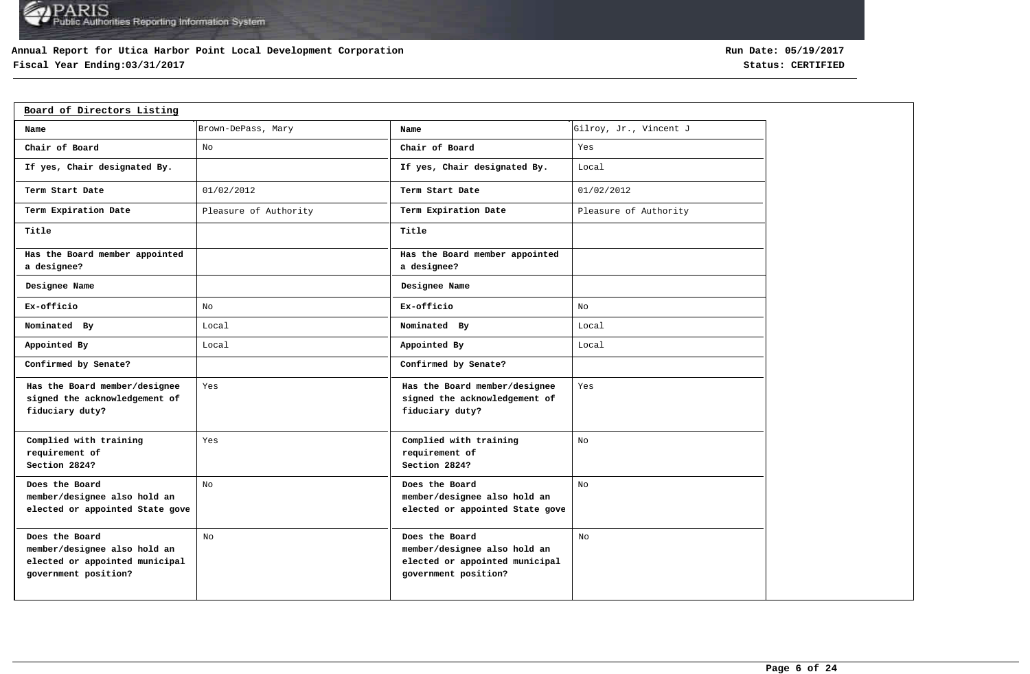## **Annual Report for Utica Harbor Point Local Development Corporation**

## **Fiscal Year Ending:03/31/2017 Status: CERTIFIED**

| Board of Directors Listing                                                                               |                       |                                                                                                          |                        |
|----------------------------------------------------------------------------------------------------------|-----------------------|----------------------------------------------------------------------------------------------------------|------------------------|
| Name                                                                                                     | Brown-DePass, Mary    | Name                                                                                                     | Gilroy, Jr., Vincent J |
| Chair of Board                                                                                           | No                    | Chair of Board                                                                                           | Yes                    |
| If yes, Chair designated By.                                                                             |                       | If yes, Chair designated By.                                                                             | Local                  |
| Term Start Date                                                                                          | 01/02/2012            | Term Start Date                                                                                          | 01/02/2012             |
| Term Expiration Date                                                                                     | Pleasure of Authority | Term Expiration Date                                                                                     | Pleasure of Authority  |
| Title                                                                                                    |                       | Title                                                                                                    |                        |
| Has the Board member appointed<br>a designee?                                                            |                       | Has the Board member appointed<br>a designee?                                                            |                        |
| Designee Name                                                                                            |                       | Designee Name                                                                                            |                        |
| Ex-officio                                                                                               | No                    | Ex-officio                                                                                               | No                     |
| Nominated By                                                                                             | Local                 | Nominated By                                                                                             | Local                  |
| Appointed By                                                                                             | Local                 | Appointed By                                                                                             | Local                  |
| Confirmed by Senate?                                                                                     |                       | Confirmed by Senate?                                                                                     |                        |
| Has the Board member/designee<br>signed the acknowledgement of<br>fiduciary duty?                        | Yes                   | Has the Board member/designee<br>signed the acknowledgement of<br>fiduciary duty?                        | Yes                    |
| Complied with training<br>requirement of<br>Section 2824?                                                | Yes                   | Complied with training<br>requirement of<br>Section 2824?                                                | No                     |
| Does the Board<br>member/designee also hold an<br>elected or appointed State gove                        | No                    | Does the Board<br>member/designee also hold an<br>elected or appointed State gove                        | No.                    |
| Does the Board<br>member/designee also hold an<br>elected or appointed municipal<br>government position? | No                    | Does the Board<br>member/designee also hold an<br>elected or appointed municipal<br>government position? | No                     |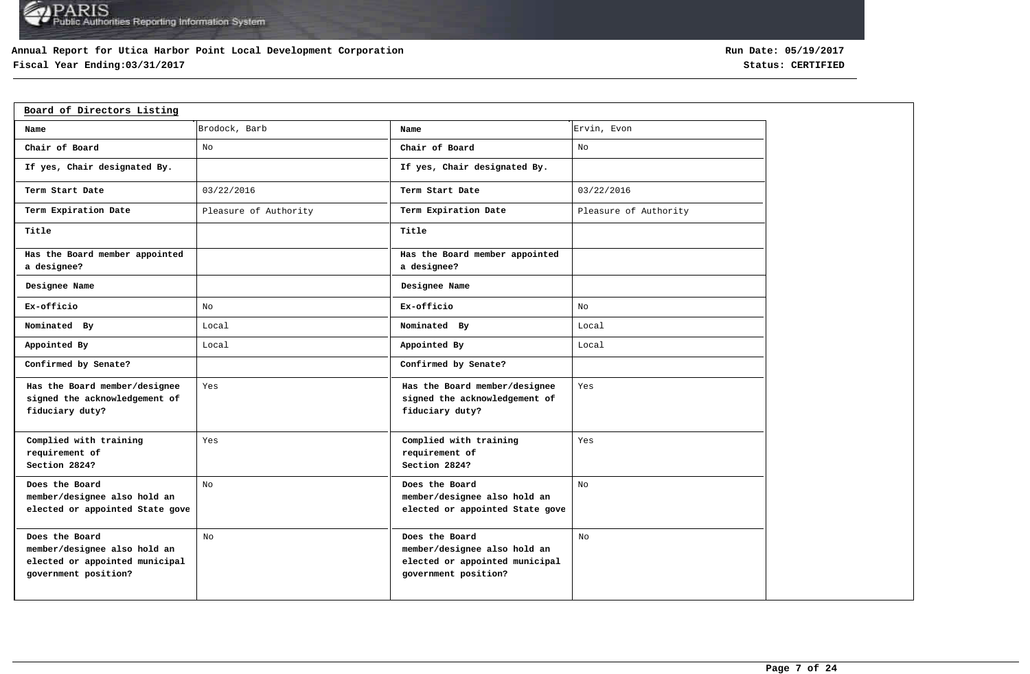## **Annual Report for Utica Harbor Point Local Development Corporation**

## **Fiscal Year Ending:03/31/2017 Status: CERTIFIED**

| Board of Directors Listing                                                                               |                       |                                                                                                          |                       |
|----------------------------------------------------------------------------------------------------------|-----------------------|----------------------------------------------------------------------------------------------------------|-----------------------|
| Name                                                                                                     | Brodock, Barb         | Name                                                                                                     | Ervin, Evon           |
| Chair of Board                                                                                           | No                    | Chair of Board                                                                                           | No                    |
| If yes, Chair designated By.                                                                             |                       | If yes, Chair designated By.                                                                             |                       |
| Term Start Date                                                                                          | 03/22/2016            | Term Start Date                                                                                          | 03/22/2016            |
| Term Expiration Date                                                                                     | Pleasure of Authority | Term Expiration Date                                                                                     | Pleasure of Authority |
| Title                                                                                                    |                       | Title                                                                                                    |                       |
| Has the Board member appointed<br>a designee?                                                            |                       | Has the Board member appointed<br>a designee?                                                            |                       |
| Designee Name                                                                                            |                       | Designee Name                                                                                            |                       |
| Ex-officio                                                                                               | No                    | Ex-officio                                                                                               | No                    |
| Nominated By                                                                                             | Local                 | Nominated By                                                                                             | Local                 |
| Appointed By                                                                                             | Local                 | Appointed By                                                                                             | Local                 |
| Confirmed by Senate?                                                                                     |                       | Confirmed by Senate?                                                                                     |                       |
| Has the Board member/designee<br>signed the acknowledgement of<br>fiduciary duty?                        | Yes                   | Has the Board member/designee<br>signed the acknowledgement of<br>fiduciary duty?                        | Yes                   |
| Complied with training<br>requirement of<br>Section 2824?                                                | Yes                   | Complied with training<br>requirement of<br>Section 2824?                                                | Yes                   |
| Does the Board<br>member/designee also hold an<br>elected or appointed State gove                        | No                    | Does the Board<br>member/designee also hold an<br>elected or appointed State gove                        | No                    |
| Does the Board<br>member/designee also hold an<br>elected or appointed municipal<br>government position? | No                    | Does the Board<br>member/designee also hold an<br>elected or appointed municipal<br>government position? | No                    |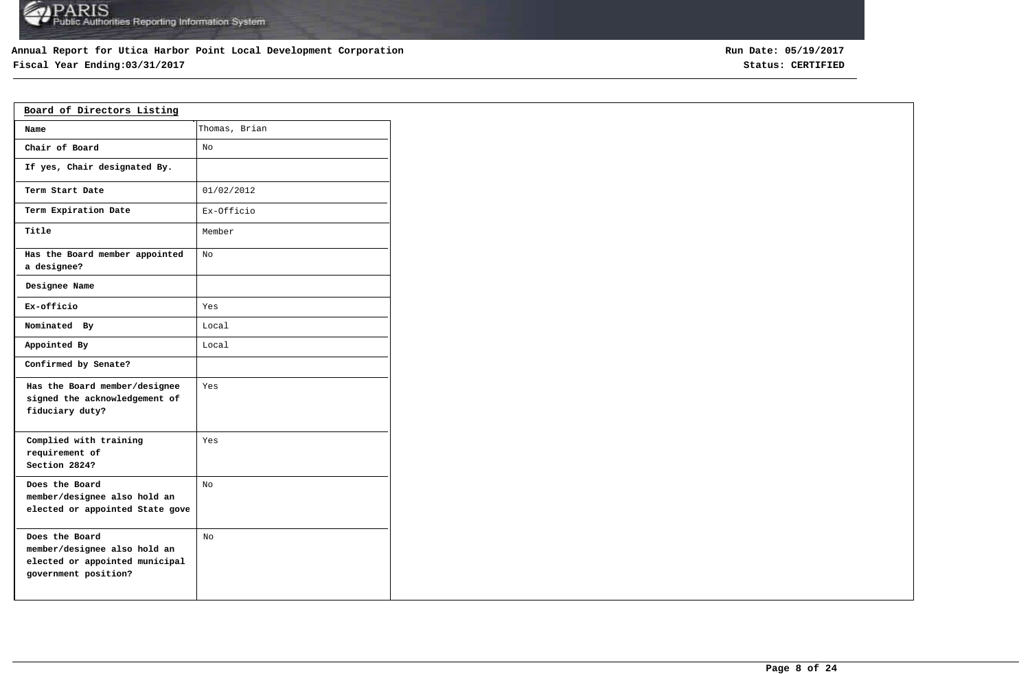## **Annual Report for Utica Harbor Point Local Development Corporation**

## **Fiscal Year Ending:03/31/2017 Status: CERTIFIED**

| Board of Directors Listing                                                                               |               |  |  |  |  |  |  |
|----------------------------------------------------------------------------------------------------------|---------------|--|--|--|--|--|--|
| Name                                                                                                     | Thomas, Brian |  |  |  |  |  |  |
| Chair of Board                                                                                           | No            |  |  |  |  |  |  |
| If yes, Chair designated By.                                                                             |               |  |  |  |  |  |  |
| Term Start Date                                                                                          | 01/02/2012    |  |  |  |  |  |  |
| Term Expiration Date                                                                                     | Ex-Officio    |  |  |  |  |  |  |
| Title                                                                                                    | Member        |  |  |  |  |  |  |
| Has the Board member appointed<br>a designee?                                                            | NΩ            |  |  |  |  |  |  |
| Designee Name                                                                                            |               |  |  |  |  |  |  |
| Ex-officio                                                                                               | Yes           |  |  |  |  |  |  |
| Nominated By                                                                                             | Local         |  |  |  |  |  |  |
| Appointed By                                                                                             | Local         |  |  |  |  |  |  |
| Confirmed by Senate?                                                                                     |               |  |  |  |  |  |  |
| Has the Board member/designee<br>signed the acknowledgement of<br>fiduciary duty?                        | Yes           |  |  |  |  |  |  |
| Complied with training<br>requirement of<br>Section 2824?                                                | Yes           |  |  |  |  |  |  |
| Does the Board<br>member/designee also hold an<br>elected or appointed State gove                        | No            |  |  |  |  |  |  |
| Does the Board<br>member/designee also hold an<br>elected or appointed municipal<br>government position? | No            |  |  |  |  |  |  |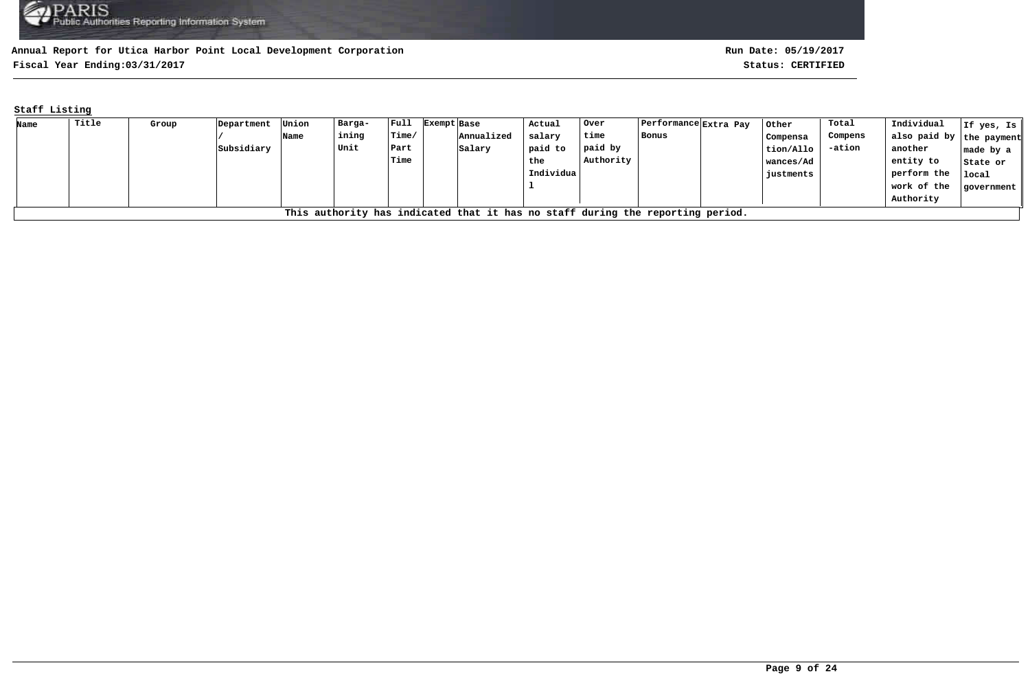**Fiscal Year Ending:03/31/2017 Status: CERTIFIED**

## **Staff Listing**

| Name | Title                                                                          | Group | Department | Union | Barga- | $ $ Full | Exempt Base | Actual    | Over      | Performance  Extra Pay |  | Other     | Total   | Individual               | If yes, Is        |
|------|--------------------------------------------------------------------------------|-------|------------|-------|--------|----------|-------------|-----------|-----------|------------------------|--|-----------|---------|--------------------------|-------------------|
|      |                                                                                |       |            | Name  | ining  | Time/    | Annualized  | salary    | time      | Bonus                  |  | Compensa  | Compens | also paid by the payment |                   |
|      |                                                                                |       | Subsidiary |       | Unit   | Part     | Salary      | paid to   | paid by   |                        |  | tion/Allo | -ation  | another                  | $ $ made by a $ $ |
|      |                                                                                |       |            |       |        | Time     |             | the       | Authority |                        |  | wances/Ad |         | entity to                | State or          |
|      |                                                                                |       |            |       |        |          |             | Individua |           |                        |  | justments |         | perform the              | local             |
|      |                                                                                |       |            |       |        |          |             |           |           |                        |  |           |         | work of the              | government        |
|      |                                                                                |       |            |       |        |          |             |           |           |                        |  |           |         | Authority                |                   |
|      | This authority has indicated that it has no staff during the reporting period. |       |            |       |        |          |             |           |           |                        |  |           |         |                          |                   |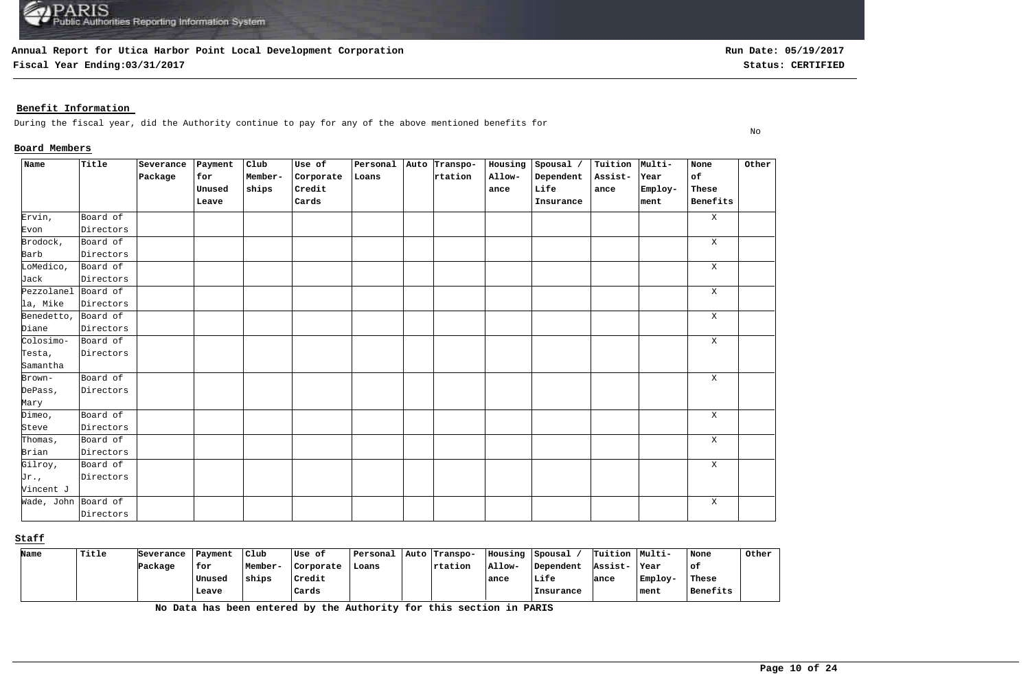**Fiscal Year Ending:03/31/2017 Status: CERTIFIED**

No

## **Benefit Information**

During the fiscal year, did the Authority continue to pay for any of the above mentioned benefits for

### **Board Members**

| Name                | Title     | Severance | Payment | Club    | Use of    | Personal | Auto Transpo- | Housing | Spousal / | Tuition Multi- |         | None         | Other |
|---------------------|-----------|-----------|---------|---------|-----------|----------|---------------|---------|-----------|----------------|---------|--------------|-------|
|                     |           | Package   | for     | Member- | Corporate | Loans    | rtation       | Allow-  | Dependent | Assist-        | Year    | of           |       |
|                     |           |           | Unused  | ships   | Credit    |          |               | ance    | Life      | ance           | Employ- | These        |       |
|                     |           |           | Leave   |         | Cards     |          |               |         | Insurance |                | ment    | Benefits     |       |
| Ervin,              | Board of  |           |         |         |           |          |               |         |           |                |         | $\mathbf{X}$ |       |
| Evon                | Directors |           |         |         |           |          |               |         |           |                |         |              |       |
| Brodock,            | Board of  |           |         |         |           |          |               |         |           |                |         | $\mathbf{X}$ |       |
| Barb                | Directors |           |         |         |           |          |               |         |           |                |         |              |       |
| LoMedico,           | Board of  |           |         |         |           |          |               |         |           |                |         | $\mathbf X$  |       |
| Jack                | Directors |           |         |         |           |          |               |         |           |                |         |              |       |
| Pezzolanel Board of |           |           |         |         |           |          |               |         |           |                |         | $\mathbf X$  |       |
| la, Mike            | Directors |           |         |         |           |          |               |         |           |                |         |              |       |
| Benedetto,          | Board of  |           |         |         |           |          |               |         |           |                |         | X            |       |
| Diane               | Directors |           |         |         |           |          |               |         |           |                |         |              |       |
| Colosimo-           | Board of  |           |         |         |           |          |               |         |           |                |         | $\mathbf{X}$ |       |
| Testa,              | Directors |           |         |         |           |          |               |         |           |                |         |              |       |
| Samantha            |           |           |         |         |           |          |               |         |           |                |         |              |       |
| Brown-              | Board of  |           |         |         |           |          |               |         |           |                |         | $\mathbf X$  |       |
| DePass,             | Directors |           |         |         |           |          |               |         |           |                |         |              |       |
| Mary                |           |           |         |         |           |          |               |         |           |                |         |              |       |
| Dimeo,              | Board of  |           |         |         |           |          |               |         |           |                |         | $\mathbf{X}$ |       |
| Steve               | Directors |           |         |         |           |          |               |         |           |                |         |              |       |
| Thomas,             | Board of  |           |         |         |           |          |               |         |           |                |         | $\mathbf X$  |       |
| Brian               | Directors |           |         |         |           |          |               |         |           |                |         |              |       |
| Gilroy,             | Board of  |           |         |         |           |          |               |         |           |                |         | $\mathbf X$  |       |
| $Jr$ .,             | Directors |           |         |         |           |          |               |         |           |                |         |              |       |
| Vincent J           |           |           |         |         |           |          |               |         |           |                |         |              |       |
| Wade, John Board of |           |           |         |         |           |          |               |         |           |                |         | $\mathbf{x}$ |       |
|                     | Directors |           |         |         |           |          |               |         |           |                |         |              |       |

#### **Staff**

| Name | Title | Severance | Payment | Club    | Use of    | Personal | Auto Transpo-   | Housing | Spousal   | Tuition Multi- |         | None     | Other |
|------|-------|-----------|---------|---------|-----------|----------|-----------------|---------|-----------|----------------|---------|----------|-------|
|      |       | Package   | for     | Member- | Corporate | Loans    | <b>Trtation</b> | Allow-  | Dependent | Assist-        | Year    | оf       |       |
|      |       |           | Unused  | ships   | Credit    |          |                 | ance    | Life      | lance          | Employ- | These    |       |
|      |       |           | Leave   |         | Cards     |          |                 |         | Insurance |                | ment    | Benefits |       |

**No Data has been entered by the Authority for this section in PARIS**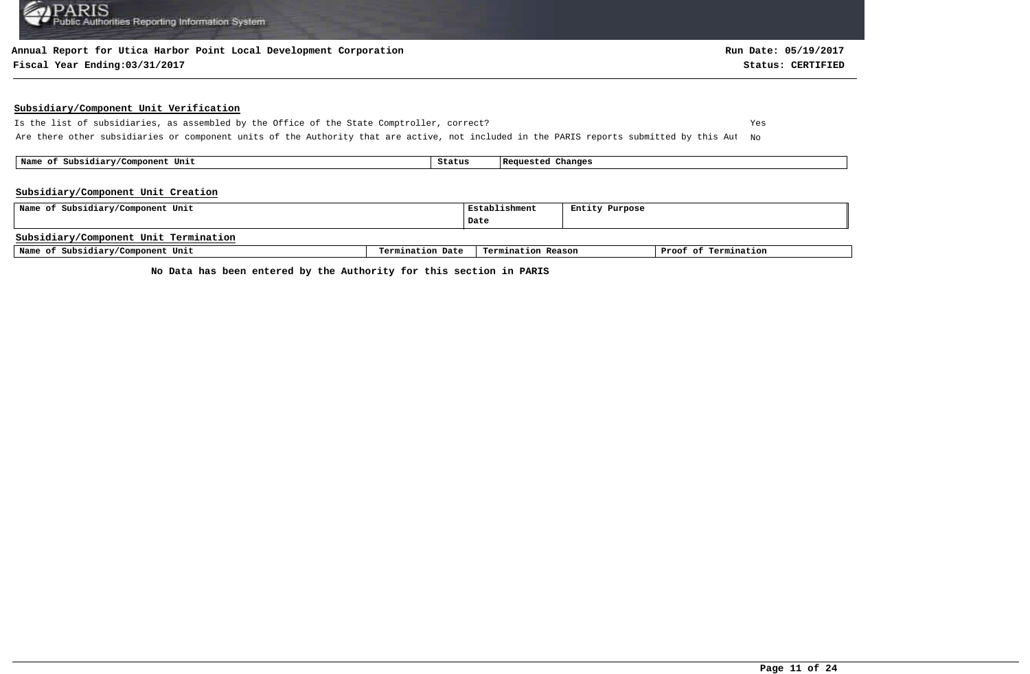#### **Annual Report for Utica Harbor Point Local Development Corporation**

#### **Fiscal Year Ending:03/31/2017 Status: CERTIFIED**

#### **Subsidiary/Component Unit Verification**

Is the list of subsidiaries, as assembled by the Office of the State Comptroller, correct? Yes Are there other subsidiaries or component units of the Authority that are active, not included in the PARIS reports submitted by this Aut No

 **Name of Subsidiary/Component Unit Status Requested Changes** 

#### **Subsidiary/Component Unit Creation**

| Name of Subsidiary/Component Unit     | Establishment    | Entity Purpose     |  |                      |
|---------------------------------------|------------------|--------------------|--|----------------------|
|                                       |                  | Date               |  |                      |
| Subsidiary/Component Unit Termination |                  |                    |  |                      |
| Name of Subsidiary/Component Unit     | Termination Date | Termination Reason |  | Proof of Termination |

**No Data has been entered by the Authority for this section in PARIS**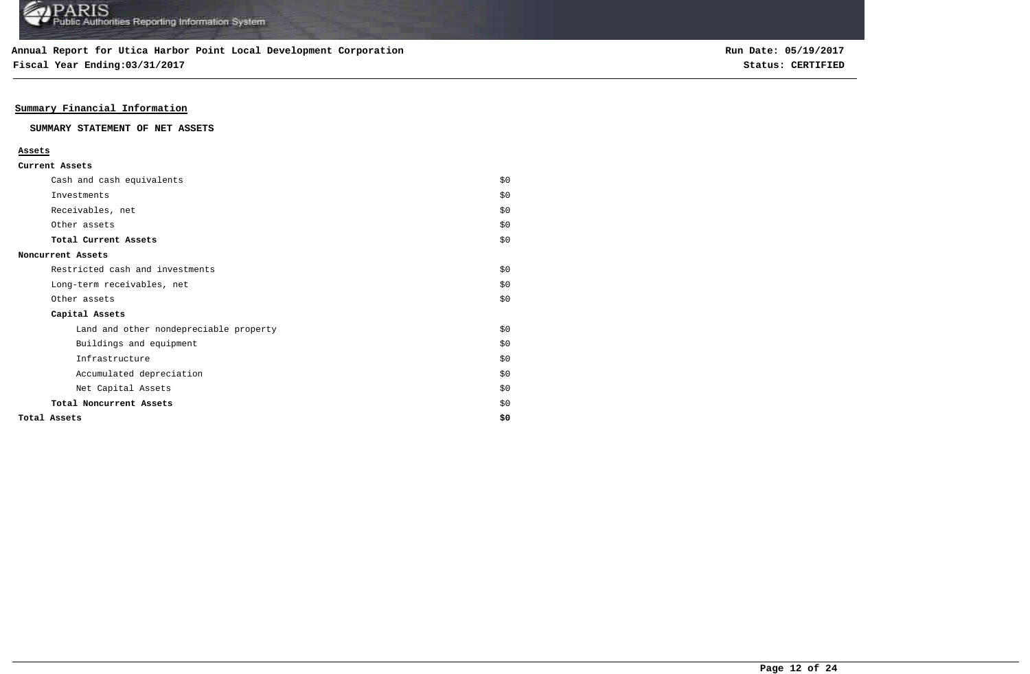**Fiscal Year Ending:03/31/2017 Status: CERTIFIED**

## **Summary Financial Information**

#### **SUMMARY STATEMENT OF NET ASSETS**

#### **Assets**

| Current Assets |  |
|----------------|--|
|----------------|--|

| Cash and cash equivalents              | \$0   |
|----------------------------------------|-------|
| Investments                            | \$0   |
| Receivables, net                       | \$0   |
| Other assets                           | \$0   |
| Total Current Assets                   | \$0   |
| Noncurrent Assets                      |       |
| Restricted cash and investments        | \$0\$ |
| Long-term receivables, net             | \$0   |
| Other assets                           | \$0   |
| Capital Assets                         |       |
| Land and other nondepreciable property | \$0   |
| Buildings and equipment                | \$0   |
| Infrastructure                         | \$0   |
| Accumulated depreciation               | \$0   |
| Net Capital Assets                     | \$0   |
| Total Noncurrent Assets                | \$0   |
| Total Assets                           | \$0   |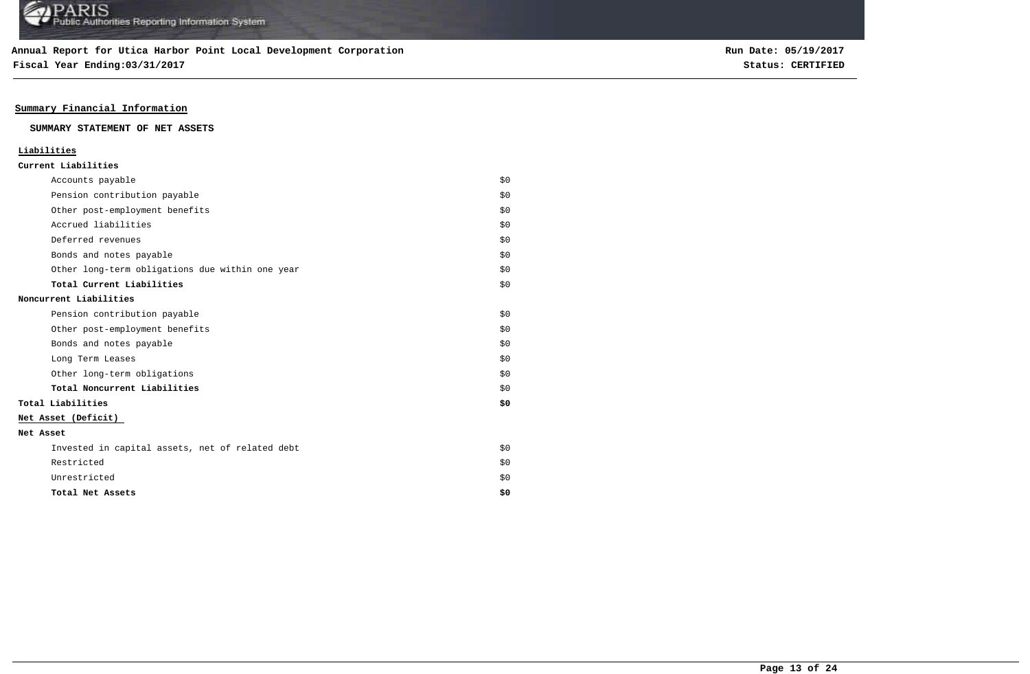**Fiscal Year Ending:03/31/2017 Status: CERTIFIED**

## **Summary Financial Information**

#### **SUMMARY STATEMENT OF NET ASSETS**

### **Liabilities**

|  | Current Liabilities |
|--|---------------------|
|--|---------------------|

| Accounts payable                                | \$0 |
|-------------------------------------------------|-----|
| Pension contribution payable                    | \$0 |
| Other post-employment benefits                  | \$0 |
| Accrued liabilities                             | \$0 |
| Deferred revenues                               | \$0 |
| Bonds and notes payable                         | \$0 |
| Other long-term obligations due within one year | \$0 |
| Total Current Liabilities                       | \$0 |
| Noncurrent Liabilities                          |     |
| Pension contribution payable                    | \$0 |
| Other post-employment benefits                  | \$0 |
| Bonds and notes payable                         | \$0 |
| Long Term Leases                                | \$0 |
| Other long-term obligations                     | \$0 |
| Total Noncurrent Liabilities                    | \$0 |
| Total Liabilities                               | \$0 |
| Net Asset (Deficit)                             |     |
| Net Asset                                       |     |
| Invested in capital assets, net of related debt | \$0 |
| Restricted                                      | \$0 |
| Unrestricted                                    | \$0 |
| Total Net Assets                                | \$0 |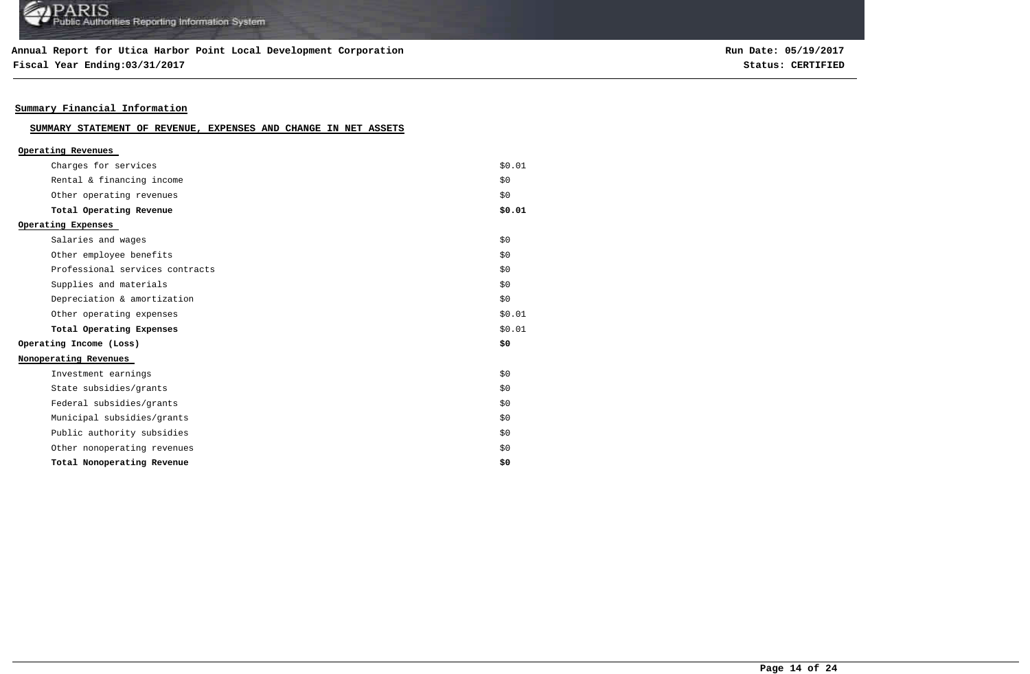## **Annual Report for Utica Harbor Point Local Development Corporation**

**Fiscal Year Ending:03/31/2017 Status: CERTIFIED**

**Run Date: 05/19/2017**

## **Summary Financial Information**

## **SUMMARY STATEMENT OF REVENUE, EXPENSES AND CHANGE IN NET ASSETS**

| \$0.01<br>\$0 |
|---------------|
|               |
|               |
| \$0           |
| \$0.01        |
|               |
| \$0           |
| \$0           |
| \$0           |
| \$0           |
| \$0           |
| \$0.01        |
| \$0.01        |
| \$0           |
|               |
| \$0           |
| \$0           |
| \$0           |
| \$0           |
| \$0           |
| \$0           |
| \$0           |
|               |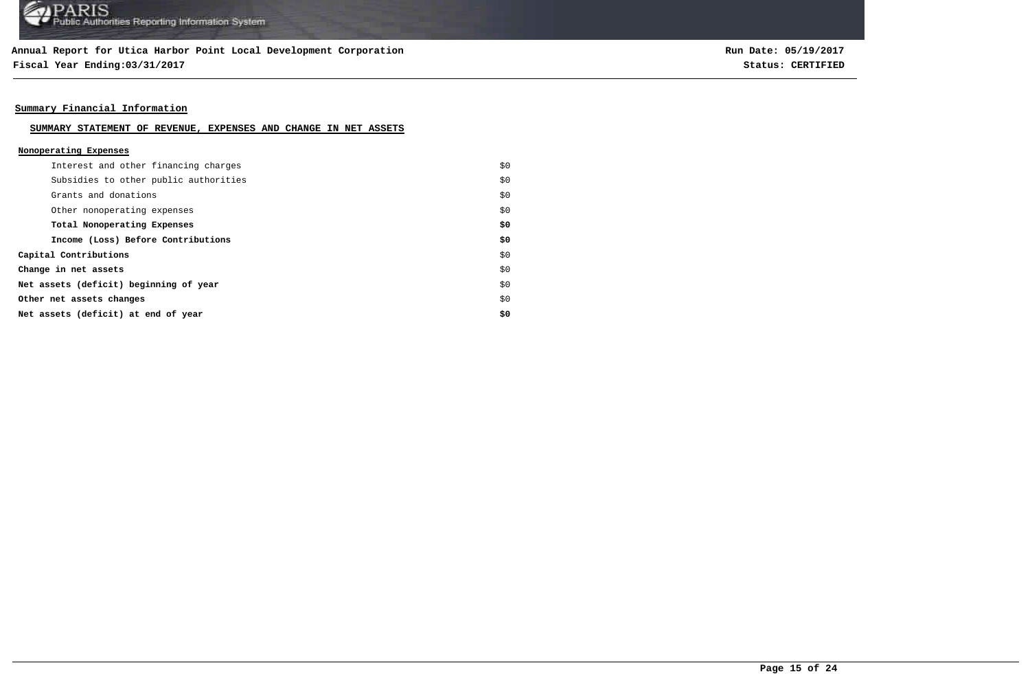**Fiscal Year Ending:03/31/2017 Status: CERTIFIED**

**Run Date: 05/19/2017**

## **Summary Financial Information**

#### **SUMMARY STATEMENT OF REVENUE, EXPENSES AND CHANGE IN NET ASSETS**

#### **Nonoperating Expenses**

| Interest and other financing charges   | \$0 |
|----------------------------------------|-----|
| Subsidies to other public authorities  | \$0 |
| Grants and donations                   | \$0 |
| Other nonoperating expenses            | \$0 |
| Total Nonoperating Expenses            | \$0 |
| Income (Loss) Before Contributions     | \$0 |
| Capital Contributions                  | \$0 |
| Change in net assets                   | \$0 |
| Net assets (deficit) beginning of year | \$0 |
| Other net assets changes               | \$0 |
| Net assets (deficit) at end of year    | \$0 |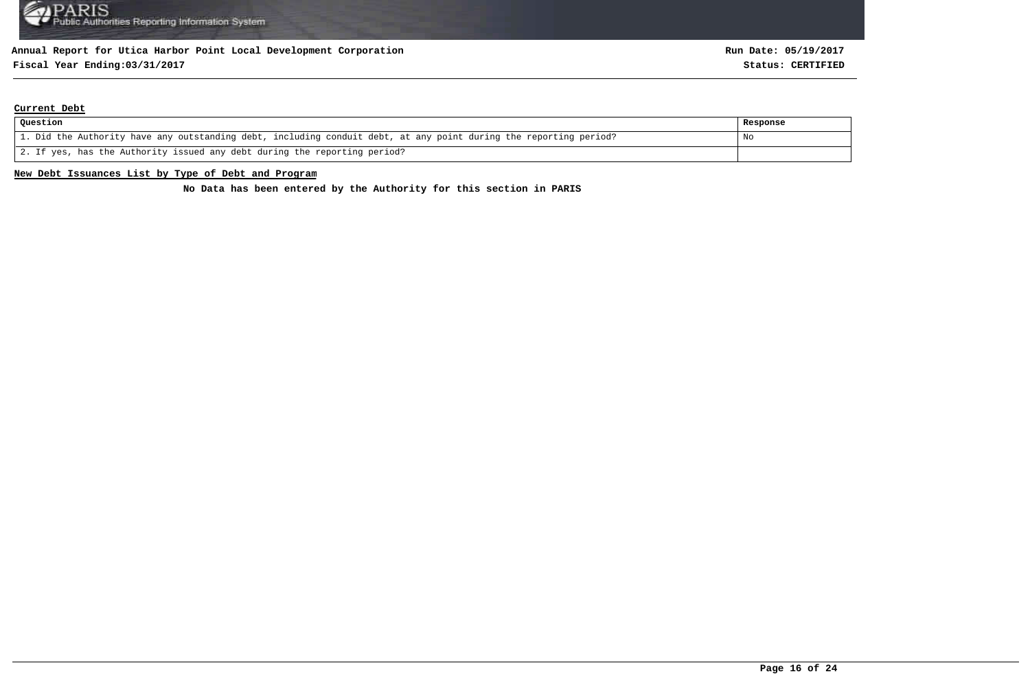# **Fiscal Year Ending:03/31/2017 Status: CERTIFIED**

#### **Current Debt**

| Question                                                                                                          | Response |
|-------------------------------------------------------------------------------------------------------------------|----------|
| 1. Did the Authority have any outstanding debt, including conduit debt, at any point during the reporting period? | No       |
| 2. If yes, has the Authority issued any debt during the reporting period?                                         |          |

#### **New Debt Issuances List by Type of Debt and Program**

**No Data has been entered by the Authority for this section in PARIS**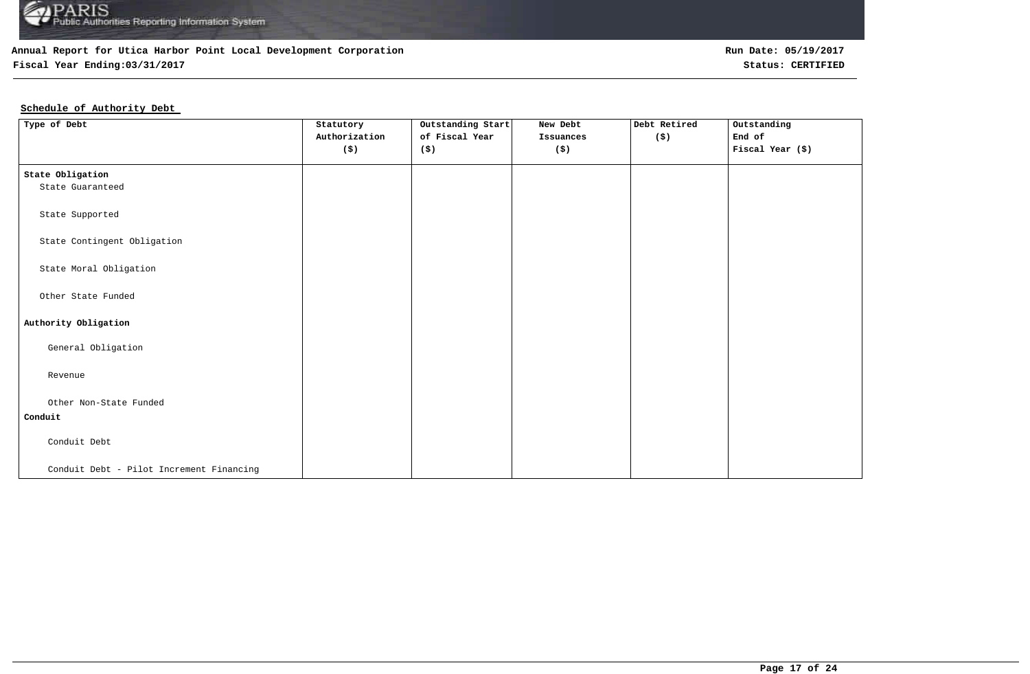

## **Fiscal Year Ending:03/31/2017 Status: CERTIFIED**

**Run Date: 05/19/2017**

## **Schedule of Authority Debt**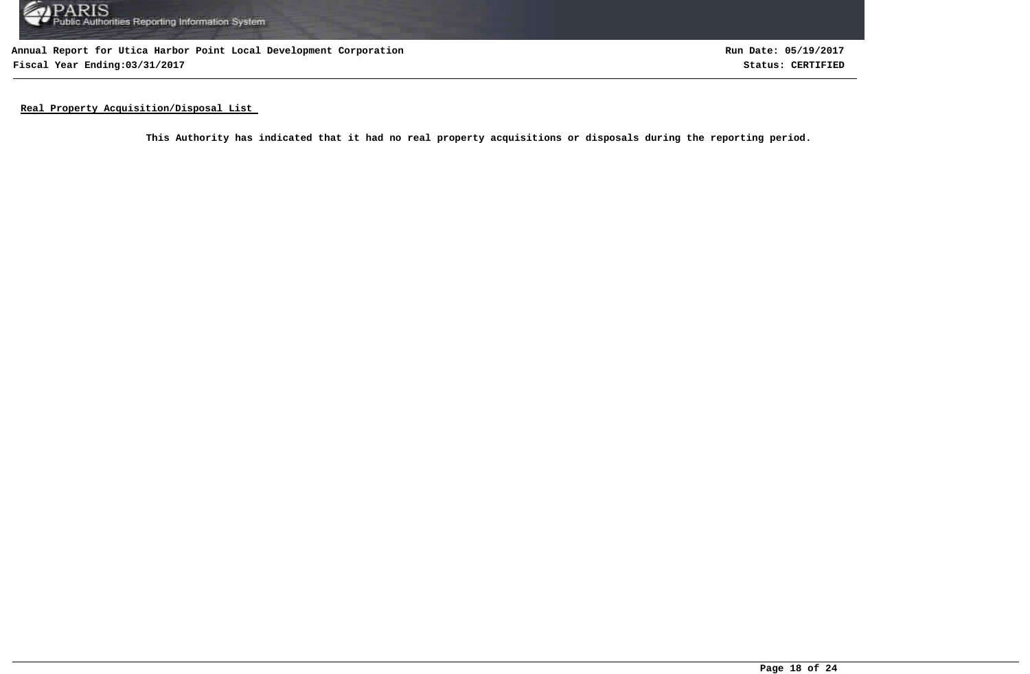

**Annual Report for Utica Harbor Point Local Development Corporation Fiscal Year Ending:03/31/2017 Status: CERTIFIED**

**Run Date: 05/19/2017**

**Real Property Acquisition/Disposal List** 

**This Authority has indicated that it had no real property acquisitions or disposals during the reporting period.**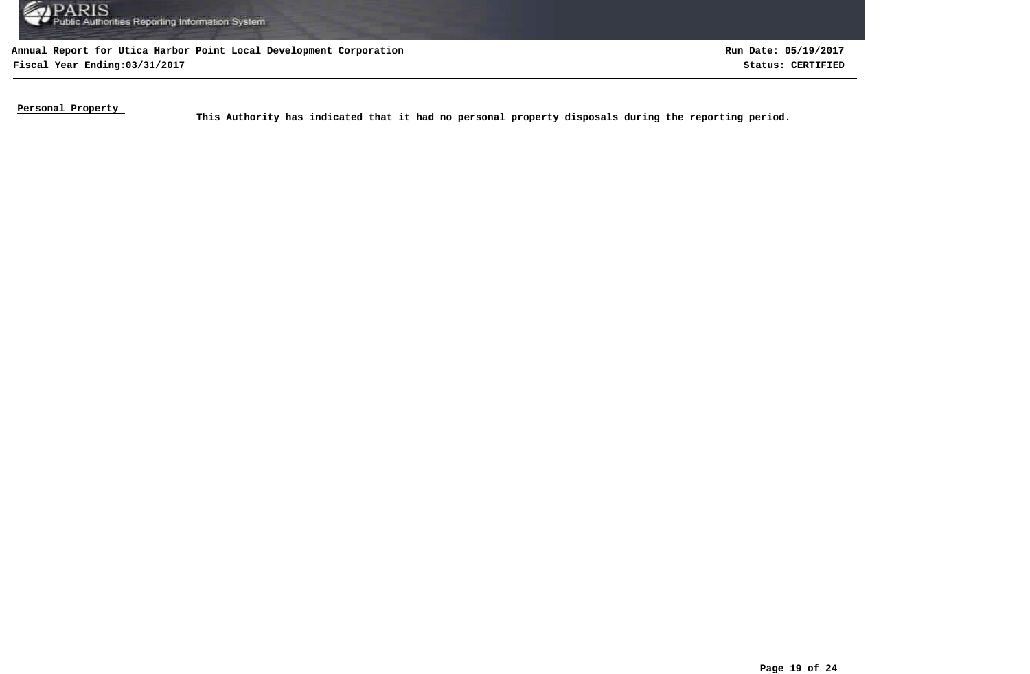

**Annual Report for Utica Harbor Point Local Development Corporation Fiscal Year Ending:03/31/2017 Status: CERTIFIED**

**Run Date: 05/19/2017**

**Personal Property** 

This Authority has indicated that it had no personal property disposals during the reporting period.<br>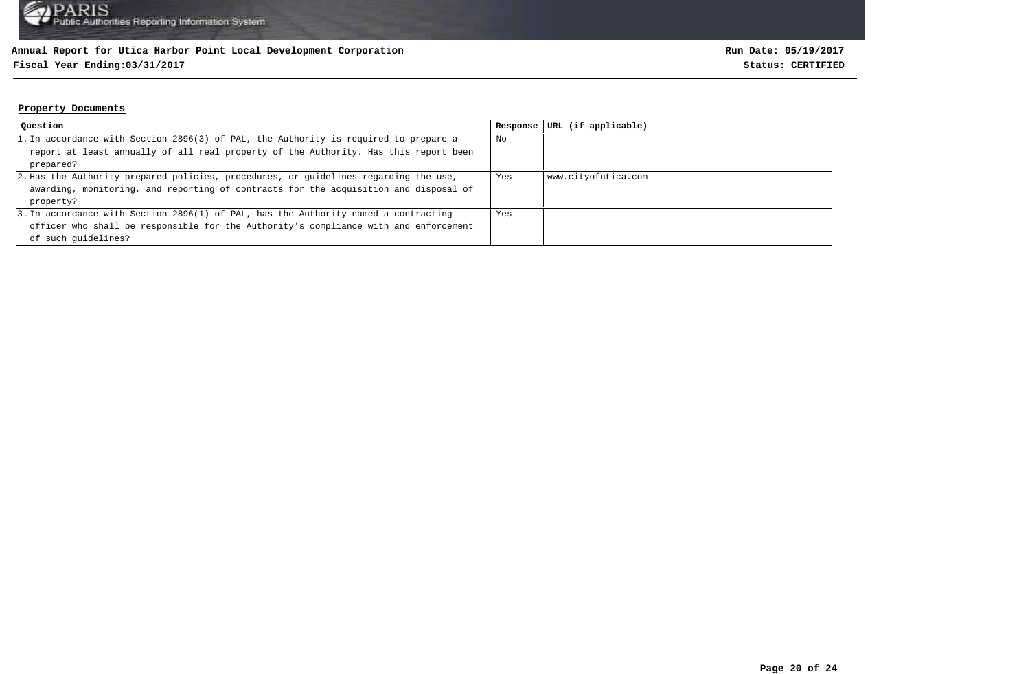## **Fiscal Year Ending:03/31/2017 Status: CERTIFIED**

#### **Property Documents**

| Question                                                                             | Response | URL (if applicable) |
|--------------------------------------------------------------------------------------|----------|---------------------|
| 1. In accordance with Section 2896(3) of PAL, the Authority is required to prepare a | No       |                     |
| report at least annually of all real property of the Authority. Has this report been |          |                     |
| prepared?                                                                            |          |                     |
| 2. Has the Authority prepared policies, procedures, or guidelines regarding the use, | Yes      | www.cityofutica.com |
| awarding, monitoring, and reporting of contracts for the acquisition and disposal of |          |                     |
| property?                                                                            |          |                     |
| 3. In accordance with Section 2896(1) of PAL, has the Authority named a contracting  | Yes      |                     |
| officer who shall be responsible for the Authority's compliance with and enforcement |          |                     |
| of such quidelines?                                                                  |          |                     |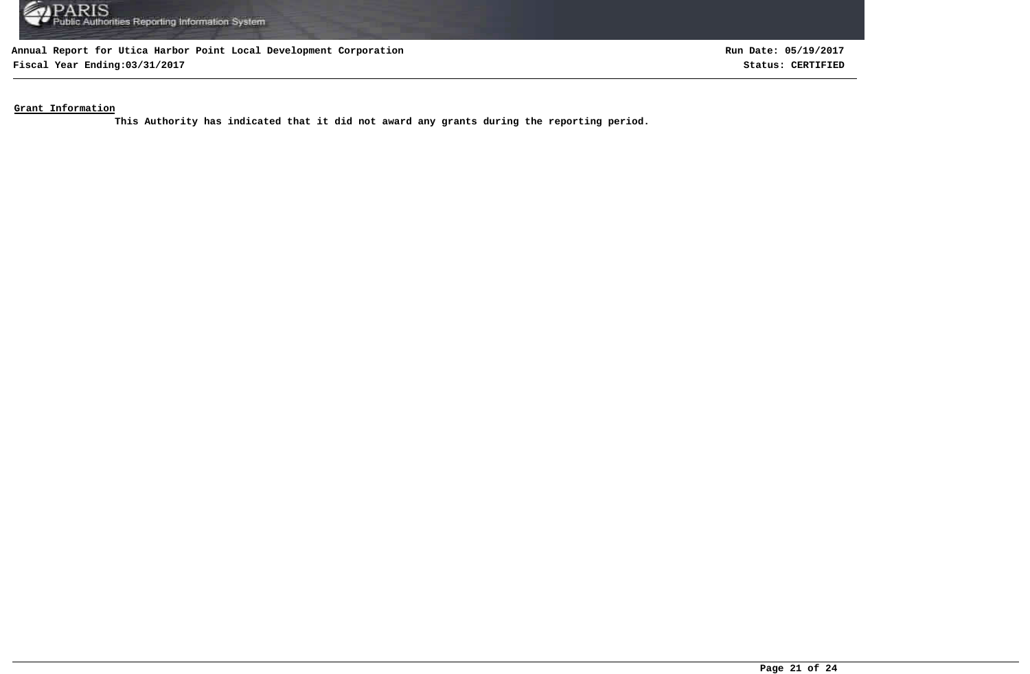

**Fiscal Year Ending:03/31/2017 Status: CERTIFIED**

**Run Date: 05/19/2017**

**Grant Information**

**This Authority has indicated that it did not award any grants during the reporting period.**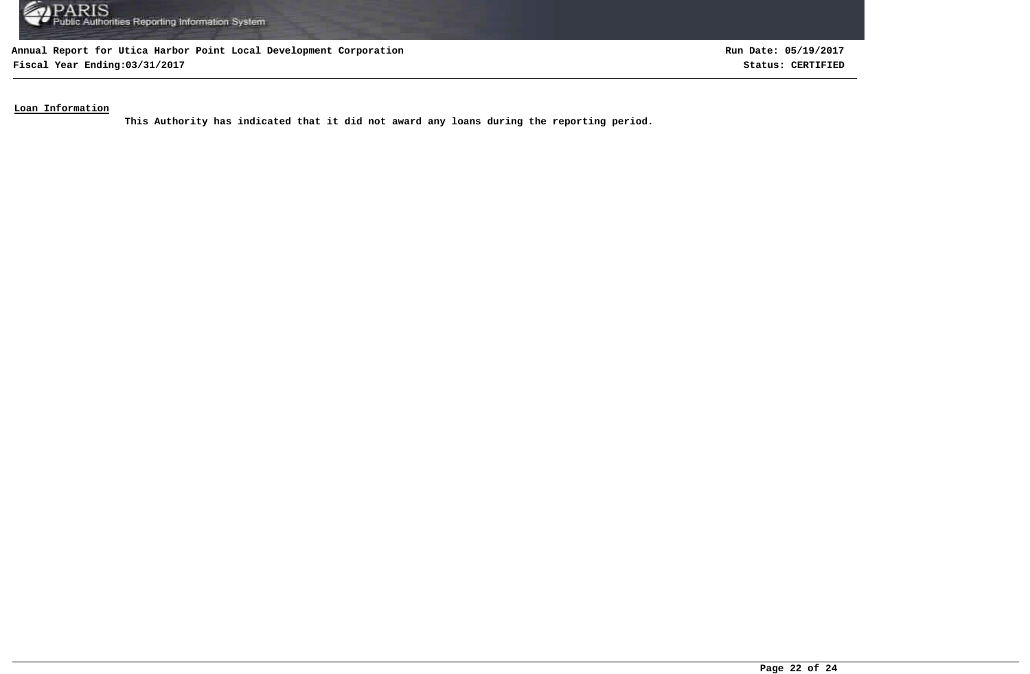

**Fiscal Year Ending:03/31/2017 Status: CERTIFIED**

**Run Date: 05/19/2017**

## **Loan Information**

**This Authority has indicated that it did not award any loans during the reporting period.**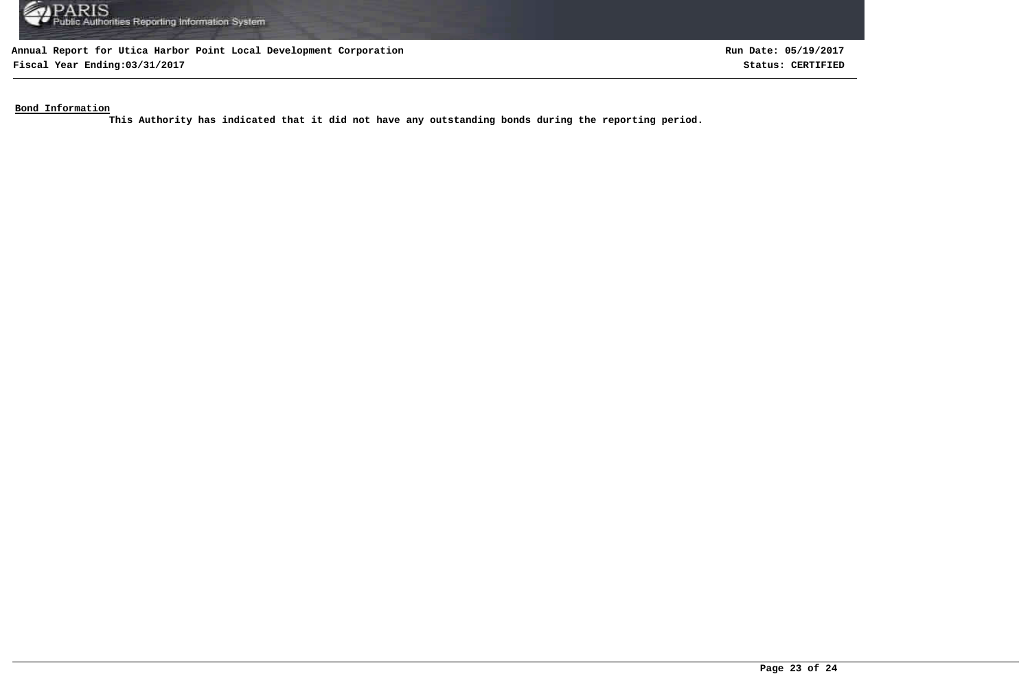

**Fiscal Year Ending:03/31/2017 Status: CERTIFIED**

**Run Date: 05/19/2017**

**Bond Information**

**This Authority has indicated that it did not have any outstanding bonds during the reporting period.**